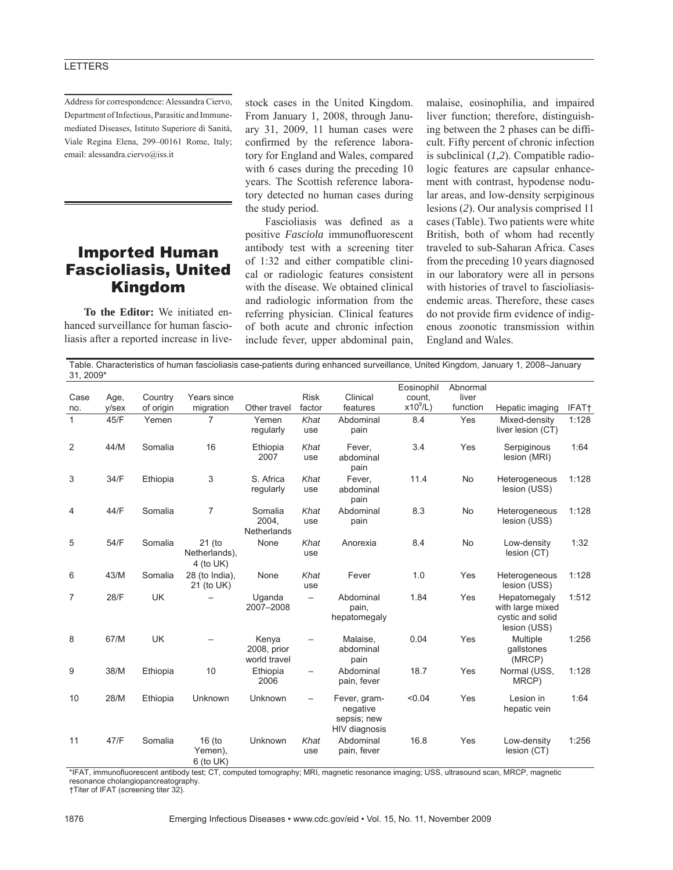## **LETTERS**

Address for correspondence: Alessandra Ciervo, Department of Infectious, Parasitic and Immunemediated Diseases, Istituto Superiore di Sanità, Viale Regina Elena, 299–00161 Rome, Italy; email: alessandra.ciervo@iss.it

## Imported Human Fascioliasis, United Kingdom

**To the Editor:** We initiated enhanced surveillance for human fascioliasis after a reported increase in livestock cases in the United Kingdom. From January 1, 2008, through January 31, 2009, 11 human cases were confirmed by the reference laboratory for England and Wales, compared with 6 cases during the preceding 10 years. The Scottish reference laboratory detected no human cases during the study period.

Fascioliasis was defined as a positive **Fasciola** immunofluorescent antibody test with a screening titer of 1:32 and either compatible clinical or radiologic features consistent with the disease. We obtained clinical and radiologic information from the referring physician. Clinical features of both acute and chronic infection include fever, upper abdominal pain, malaise, eosinophilia, and impaired liver function; therefore, distinguishing between the 2 phases can be difficult. Fifty percent of chronic infection is subclinical (*1,2*). Compatible radiologic features are capsular enhancement with contrast, hypodense nodular areas, and low-density serpiginous lesions (*2*). Our analysis comprised 11 cases (Table). Two patients were white British, both of whom had recently traveled to sub-Saharan Africa. Cases from the preceding 10 years diagnosed in our laboratory were all in persons with histories of travel to fascioliasisendemic areas. Therefore, these cases do not provide firm evidence of indigenous zoonotic transmission within England and Wales.

| Table. Characteristics of human fascioliasis case-patients during enhanced surveillance, United Kingdom, January 1, 2008–January<br>31, 2009* |                  |                      |                                         |                                      |                       |                                                          |                                     |                               |                                                                      |       |
|-----------------------------------------------------------------------------------------------------------------------------------------------|------------------|----------------------|-----------------------------------------|--------------------------------------|-----------------------|----------------------------------------------------------|-------------------------------------|-------------------------------|----------------------------------------------------------------------|-------|
| Case<br>no.                                                                                                                                   | Age,<br>$y$ /sex | Country<br>of origin | Years since<br>migration                | Other travel                         | <b>Risk</b><br>factor | Clinical<br>features                                     | Eosinophil<br>count.<br>$x10^9$ /L) | Abnormal<br>liver<br>function | Hepatic imaging                                                      | IFAT† |
| $\mathbf{1}$                                                                                                                                  | 45/F             | Yemen                | 7                                       | Yemen<br>regularly                   | Khat<br>use           | Abdominal<br>pain                                        | 8.4                                 | Yes                           | Mixed-density<br>liver lesion (CT)                                   | 1:128 |
| 2                                                                                                                                             | 44/M             | Somalia              | 16                                      | Ethiopia<br>2007                     | Khat<br>use           | Fever,<br>abdominal<br>pain                              | 3.4                                 | Yes                           | Serpiginous<br>lesion (MRI)                                          | 1:64  |
| 3                                                                                                                                             | 34/F             | Ethiopia             | 3                                       | S. Africa<br>regularly               | Khat<br>use           | Fever,<br>abdominal<br>pain                              | 11.4                                | No                            | Heterogeneous<br>lesion (USS)                                        | 1:128 |
| 4                                                                                                                                             | 44/F             | Somalia              | $\overline{7}$                          | Somalia<br>2004,<br>Netherlands      | Khat<br>use           | Abdominal<br>pain                                        | 8.3                                 | No                            | Heterogeneous<br>lesion (USS)                                        | 1:128 |
| 5                                                                                                                                             | 54/F             | Somalia              | 21 (to<br>Netherlands),<br>4 (to $UK$ ) | None                                 | Khat<br>use           | Anorexia                                                 | 8.4                                 | No                            | Low-density<br>lesion (CT)                                           | 1:32  |
| 6                                                                                                                                             | 43/M             | Somalia              | 28 (to India),<br>21 (to UK)            | None                                 | Khat<br>use           | Fever                                                    | 1.0                                 | Yes                           | Heterogeneous<br>lesion (USS)                                        | 1:128 |
| 7                                                                                                                                             | 28/F             | <b>UK</b>            |                                         | Uganda<br>2007-2008                  | $\qquad \qquad -$     | Abdominal<br>pain,<br>hepatomegaly                       | 1.84                                | Yes                           | Hepatomegaly<br>with large mixed<br>cystic and solid<br>lesion (USS) | 1:512 |
| 8                                                                                                                                             | 67/M             | <b>UK</b>            |                                         | Kenya<br>2008, prior<br>world travel |                       | Malaise,<br>abdominal<br>pain                            | 0.04                                | Yes                           | Multiple<br>gallstones<br>(MRCP)                                     | 1:256 |
| 9                                                                                                                                             | 38/M             | Ethiopia             | 10                                      | Ethiopia<br>2006                     |                       | Abdominal<br>pain, fever                                 | 18.7                                | Yes                           | Normal (USS,<br>MRCP)                                                | 1:128 |
| 10                                                                                                                                            | 28/M             | Ethiopia             | Unknown                                 | Unknown                              | $\qquad \qquad -$     | Fever, gram-<br>negative<br>sepsis; new<br>HIV diagnosis | < 0.04                              | Yes                           | Lesion in<br>hepatic vein                                            | 1:64  |
| 11                                                                                                                                            | 47/F             | Somalia              | $16$ (to<br>Yemen),<br>$6$ (to UK)      | Unknown                              | Khat<br>use           | Abdominal<br>pain, fever                                 | 16.8                                | Yes                           | Low-density<br>lesion (CT)                                           | 1:256 |

\*IFAT, immunofluorescent antibody test; CT, computed tomography; MRI, magnetic resonance imaging; USS, ultrasound scan, MRCP, magnetic resonance cholangiopancreatography. †Titer of IFAT (screening titer 32).